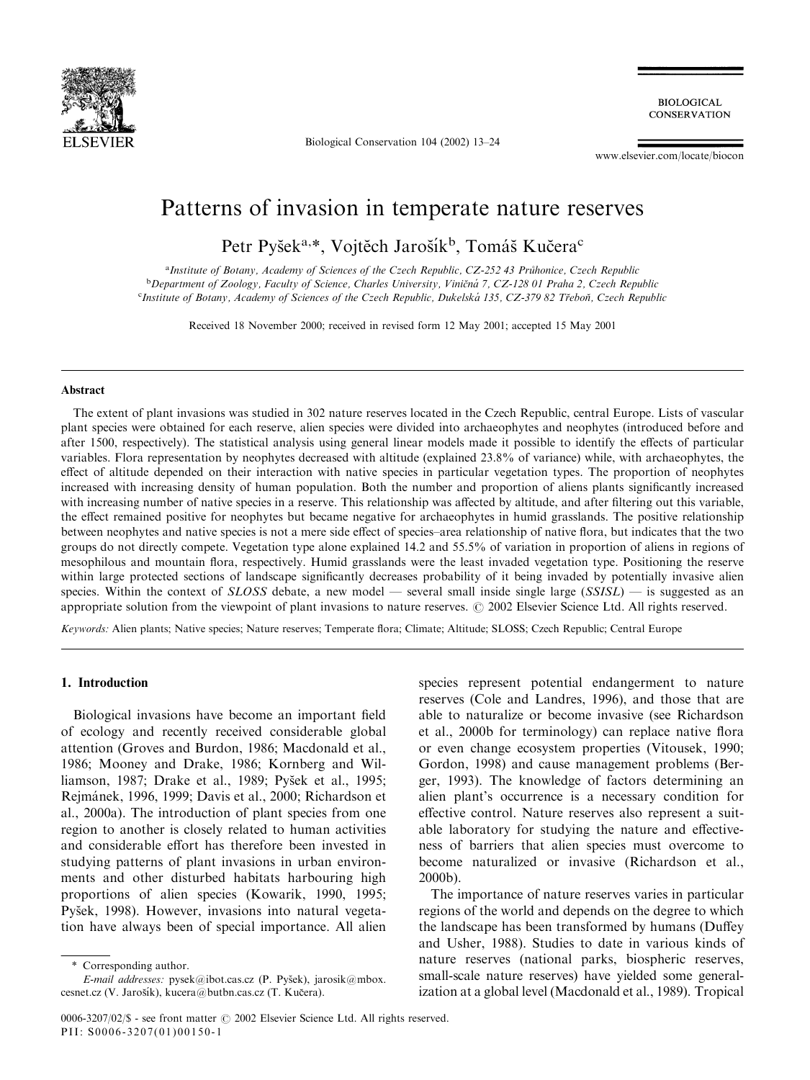

Biological Conservation 104 (2002) 13–24

**BIOLOGICAL CONSERVATION** 

www.elsevier.com/locate/biocon

# Patterns of invasion in temperate nature reserves

Petr Pyšek<sup>a,\*</sup>, Vojtěch Jarošík<sup>b</sup>, Tomáš Kučera<sup>c</sup>

a Institute of Botany, Academy of Sciences of the Czech Republic, CZ-252 43 Průhonice, Czech Republic <sup>b</sup>Department of Zoology, Faculty of Science, Charles University, Viničná 7, CZ-128 01 Praha 2, Czech Republic <sup>c</sup>Institute of Botany, Academy of Sciences of the Czech Republic, Dukelská 135, CZ-379 82 Třeboň, Czech Republic

Received 18 November 2000; received in revised form 12 May 2001; accepted 15 May 2001

#### Abstract

The extent of plant invasions was studied in 302 nature reserves located in the Czech Republic, central Europe. Lists of vascular plant species were obtained for each reserve, alien species were divided into archaeophytes and neophytes (introduced before and after 1500, respectively). The statistical analysis using general linear models made it possible to identify the effects of particular variables. Flora representation by neophytes decreased with altitude (explained 23.8% of variance) while, with archaeophytes, the effect of altitude depended on their interaction with native species in particular vegetation types. The proportion of neophytes increased with increasing density of human population. Both the number and proportion of aliens plants significantly increased with increasing number of native species in a reserve. This relationship was affected by altitude, and after filtering out this variable, the effect remained positive for neophytes but became negative for archaeophytes in humid grasslands. The positive relationship between neophytes and native species is not a mere side effect of species–area relationship of native flora, but indicates that the two groups do not directly compete. Vegetation type alone explained 14.2 and 55.5% of variation in proportion of aliens in regions of mesophilous and mountain flora, respectively. Humid grasslands were the least invaded vegetation type. Positioning the reserve within large protected sections of landscape significantly decreases probability of it being invaded by potentially invasive alien species. Within the context of SLOSS debate, a new model — several small inside single large  $(SSISL)$  — is suggested as an appropriate solution from the viewpoint of plant invasions to nature reserves.  $\odot$  2002 Elsevier Science Ltd. All rights reserved.

Keywords: Alien plants; Native species; Nature reserves; Temperate flora; Climate; Altitude; SLOSS; Czech Republic; Central Europe

#### 1. Introduction

Biological invasions have become an important field of ecology and recently received considerable global attention (Groves and Burdon, 1986; Macdonald et al., 1986; Mooney and Drake, 1986; Kornberg and Williamson, 1987; Drake et al., 1989; Pyšek et al., 1995; Rejma´nek, 1996, 1999; Davis et al., 2000; Richardson et al., 2000a). The introduction of plant species from one region to another is closely related to human activities and considerable effort has therefore been invested in studying patterns of plant invasions in urban environments and other disturbed habitats harbouring high proportions of alien species (Kowarik, 1990, 1995; Pyšek, 1998). However, invasions into natural vegetation have always been of special importance. All alien species represent potential endangerment to nature reserves (Cole and Landres, 1996), and those that are able to naturalize or become invasive (see Richardson et al., 2000b for terminology) can replace native flora or even change ecosystem properties (Vitousek, 1990; Gordon, 1998) and cause management problems (Berger, 1993). The knowledge of factors determining an alien plant's occurrence is a necessary condition for effective control. Nature reserves also represent a suitable laboratory for studying the nature and effectiveness of barriers that alien species must overcome to become naturalized or invasive (Richardson et al., 2000b).

The importance of nature reserves varies in particular regions of the world and depends on the degree to which the landscape has been transformed by humans (Duffey and Usher, 1988). Studies to date in various kinds of nature reserves (national parks, biospheric reserves, small-scale nature reserves) have yielded some generalization at a global level (Macdonald et al., 1989). Tropical

<sup>\*</sup> Corresponding author.

E-mail addresses:  $pysek@ibot.cas.cz$  (P. Pyšek), jarosik $@mbox.$ cesnet.cz (V. Jarošík), kucera@butbn.cas.cz (T. Kučera).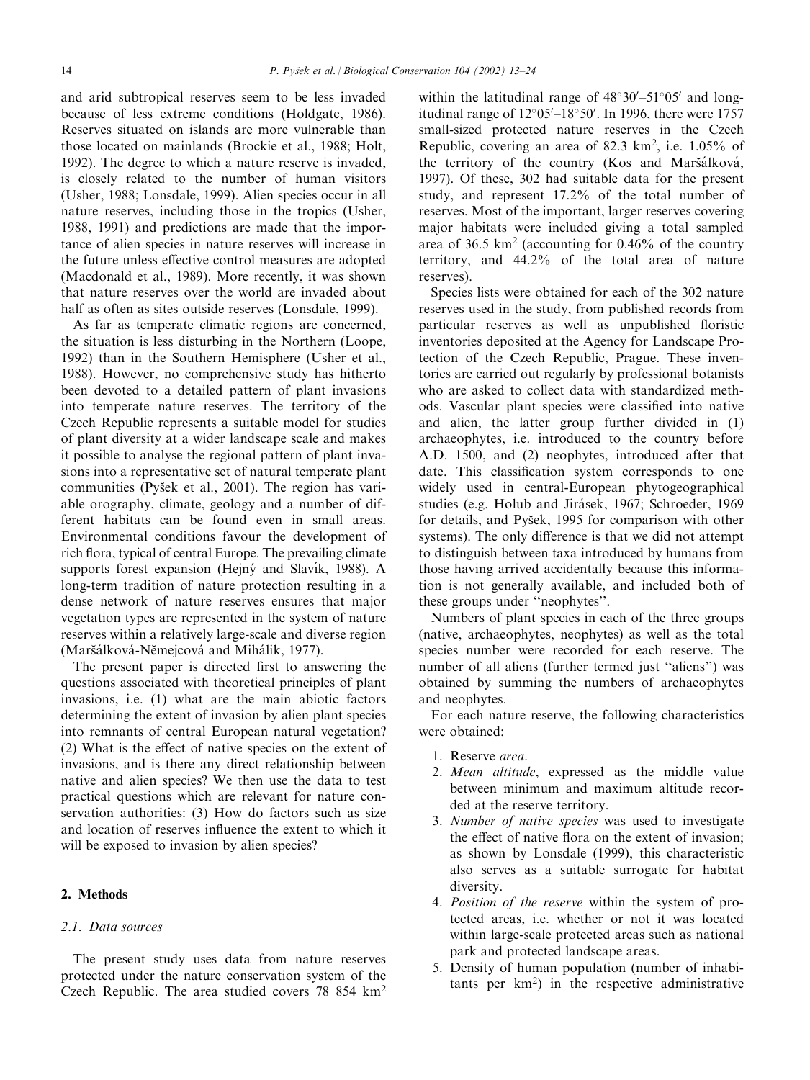and arid subtropical reserves seem to be less invaded because of less extreme conditions (Holdgate, 1986). Reserves situated on islands are more vulnerable than those located on mainlands (Brockie et al., 1988; Holt, 1992). The degree to which a nature reserve is invaded, is closely related to the number of human visitors (Usher, 1988; Lonsdale, 1999). Alien species occur in all nature reserves, including those in the tropics (Usher, 1988, 1991) and predictions are made that the importance of alien species in nature reserves will increase in the future unless effective control measures are adopted (Macdonald et al., 1989). More recently, it was shown that nature reserves over the world are invaded about half as often as sites outside reserves (Lonsdale, 1999).

As far as temperate climatic regions are concerned, the situation is less disturbing in the Northern (Loope, 1992) than in the Southern Hemisphere (Usher et al., 1988). However, no comprehensive study has hitherto been devoted to a detailed pattern of plant invasions into temperate nature reserves. The territory of the Czech Republic represents a suitable model for studies of plant diversity at a wider landscape scale and makes it possible to analyse the regional pattern of plant invasions into a representative set of natural temperate plant communities (Pyšek et al., 2001). The region has variable orography, climate, geology and a number of different habitats can be found even in small areas. Environmental conditions favour the development of rich flora, typical of central Europe. The prevailing climate supports forest expansion (Hejný and Slavík, 1988). A long-term tradition of nature protection resulting in a dense network of nature reserves ensures that major vegetation types are represented in the system of nature reserves within a relatively large-scale and diverse region (Maršálková-Němejcová and Mihálik, 1977).

The present paper is directed first to answering the questions associated with theoretical principles of plant invasions, i.e. (1) what are the main abiotic factors determining the extent of invasion by alien plant species into remnants of central European natural vegetation? (2) What is the effect of native species on the extent of invasions, and is there any direct relationship between native and alien species? We then use the data to test practical questions which are relevant for nature conservation authorities: (3) How do factors such as size and location of reserves influence the extent to which it will be exposed to invasion by alien species?

### 2. Methods

## 2.1. Data sources

The present study uses data from nature reserves protected under the nature conservation system of the Czech Republic. The area studied covers 78 854 km<sup>2</sup>

within the latitudinal range of  $48^{\circ}30' - 51^{\circ}05'$  and longitudinal range of  $12^{\circ}05' - 18^{\circ}50'$ . In 1996, there were 1757 small-sized protected nature reserves in the Czech Republic, covering an area of  $82.3 \text{ km}^2$ , i.e.  $1.05\%$  of the territory of the country (Kos and Maršálková, 1997). Of these, 302 had suitable data for the present study, and represent 17.2% of the total number of reserves. Most of the important, larger reserves covering major habitats were included giving a total sampled area of 36.5  $km^2$  (accounting for 0.46% of the country territory, and 44.2% of the total area of nature reserves).

Species lists were obtained for each of the 302 nature reserves used in the study, from published records from particular reserves as well as unpublished floristic inventories deposited at the Agency for Landscape Protection of the Czech Republic, Prague. These inventories are carried out regularly by professional botanists who are asked to collect data with standardized methods. Vascular plant species were classified into native and alien, the latter group further divided in (1) archaeophytes, i.e. introduced to the country before A.D. 1500, and (2) neophytes, introduced after that date. This classification system corresponds to one widely used in central-European phytogeographical studies (e.g. Holub and Jirásek, 1967; Schroeder, 1969 for details, and Pyšek, 1995 for comparison with other systems). The only difference is that we did not attempt to distinguish between taxa introduced by humans from those having arrived accidentally because this information is not generally available, and included both of these groups under ''neophytes''.

Numbers of plant species in each of the three groups (native, archaeophytes, neophytes) as well as the total species number were recorded for each reserve. The number of all aliens (further termed just ''aliens'') was obtained by summing the numbers of archaeophytes and neophytes.

For each nature reserve, the following characteristics were obtained:

- 1. Reserve area.
- 2. Mean altitude, expressed as the middle value between minimum and maximum altitude recorded at the reserve territory.
- 3. Number of native species was used to investigate the effect of native flora on the extent of invasion; as shown by Lonsdale (1999), this characteristic also serves as a suitable surrogate for habitat diversity.
- 4. Position of the reserve within the system of protected areas, i.e. whether or not it was located within large-scale protected areas such as national park and protected landscape areas.
- 5. Density of human population (number of inhabitants per km<sup>2</sup> ) in the respective administrative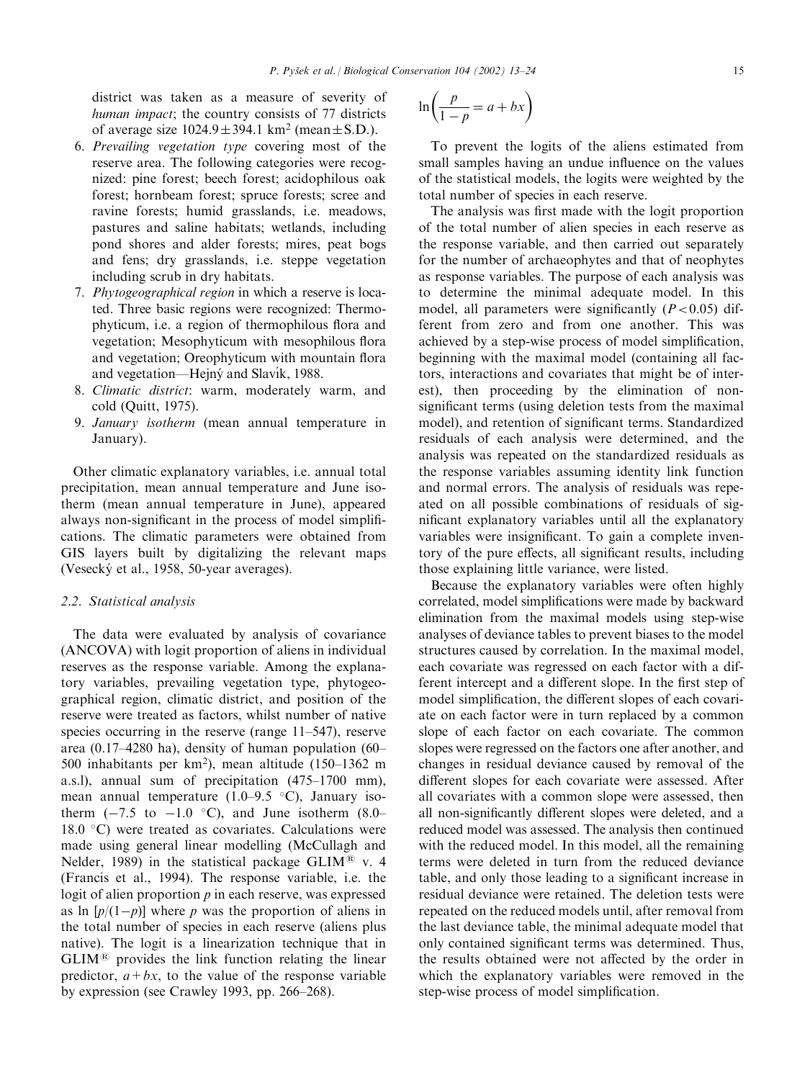district was taken as a measure of severity of human impact; the country consists of 77 districts of average size  $1024.9 \pm 394.1$  km<sup>2</sup> (mean  $\pm$  S.D.).

- 6. Prevailing vegetation type covering most of the reserve area. The following categories were recognized: pine forest; beech forest; acidophilous oak forest; hornbeam forest; spruce forests; scree and ravine forests; humid grasslands, i.e. meadows, pastures and saline habitats; wetlands, including pond shores and alder forests; mires, peat bogs and fens; dry grasslands, i.e. steppe vegetation including scrub in dry habitats.
- 7. Phytogeographical region in which a reserve is located. Three basic regions were recognized: Thermophyticum, i.e. a region of thermophilous flora and vegetation; Mesophyticum with mesophilous flora and vegetation; Oreophyticum with mountain flora and vegetation—Hejný and Slavík, 1988.
- 8. Climatic district: warm, moderately warm, and cold (Quitt, 1975).
- 9. January isotherm (mean annual temperature in January).

Other climatic explanatory variables, i.e. annual total precipitation, mean annual temperature and June isotherm (mean annual temperature in June), appeared always non-significant in the process of model simplifications. The climatic parameters were obtained from GIS layers built by digitalizing the relevant maps (Vesecký et al., 1958, 50-year averages).

#### 2.2. Statistical analysis

The data were evaluated by analysis of covariance (ANCOVA) with logit proportion of aliens in individual reserves as the response variable. Among the explanatory variables, prevailing vegetation type, phytogeographical region, climatic district, and position of the reserve were treated as factors, whilst number of native species occurring in the reserve (range 11–547), reserve area (0.17–4280 ha), density of human population (60– 500 inhabitants per  $km^2$ ), mean altitude (150-1362 m a.s.l), annual sum of precipitation (475–1700 mm), mean annual temperature (1.0–9.5  $\degree$ C), January isotherm  $(-7.5 \text{ to } -1.0 \text{ °C})$ , and June isotherm  $(8.0-$ 18.0  $\degree$ C) were treated as covariates. Calculations were made using general linear modelling (McCullagh and Nelder, 1989) in the statistical package GLIM<sup>®</sup> v. 4 (Francis et al., 1994). The response variable, i.e. the logit of alien proportion  $p$  in each reserve, was expressed as ln  $[p/(1-p)]$  where p was the proportion of aliens in the total number of species in each reserve (aliens plus native). The logit is a linearization technique that in  $GLIM^{\circledR}$  provides the link function relating the linear predictor,  $a + bx$ , to the value of the response variable by expression (see Crawley 1993, pp. 266–268).

$$
\ln\left(\frac{p}{1-p} = a + bx\right)
$$

To prevent the logits of the aliens estimated from small samples having an undue influence on the values of the statistical models, the logits were weighted by the total number of species in each reserve.

The analysis was first made with the logit proportion of the total number of alien species in each reserve as the response variable, and then carried out separately for the number of archaeophytes and that of neophytes as response variables. The purpose of each analysis was to determine the minimal adequate model. In this model, all parameters were significantly  $(P<0.05)$  different from zero and from one another. This was achieved by a step-wise process of model simplification, beginning with the maximal model (containing all factors, interactions and covariates that might be of interest), then proceeding by the elimination of nonsignificant terms (using deletion tests from the maximal model), and retention of significant terms. Standardized residuals of each analysis were determined, and the analysis was repeated on the standardized residuals as the response variables assuming identity link function and normal errors. The analysis of residuals was repeated on all possible combinations of residuals of significant explanatory variables until all the explanatory variables were insignificant. To gain a complete inventory of the pure effects, all significant results, including those explaining little variance, were listed.

Because the explanatory variables were often highly correlated, model simplifications were made by backward elimination from the maximal models using step-wise analyses of deviance tables to prevent biases to the model structures caused by correlation. In the maximal model, each covariate was regressed on each factor with a different intercept and a different slope. In the first step of model simplification, the different slopes of each covariate on each factor were in turn replaced by a common slope of each factor on each covariate. The common slopes were regressed on the factors one after another, and changes in residual deviance caused by removal of the different slopes for each covariate were assessed. After all covariates with a common slope were assessed, then all non-significantly different slopes were deleted, and a reduced model was assessed. The analysis then continued with the reduced model. In this model, all the remaining terms were deleted in turn from the reduced deviance table, and only those leading to a significant increase in residual deviance were retained. The deletion tests were repeated on the reduced models until, after removal from the last deviance table, the minimal adequate model that only contained significant terms was determined. Thus, the results obtained were not affected by the order in which the explanatory variables were removed in the step-wise process of model simplification.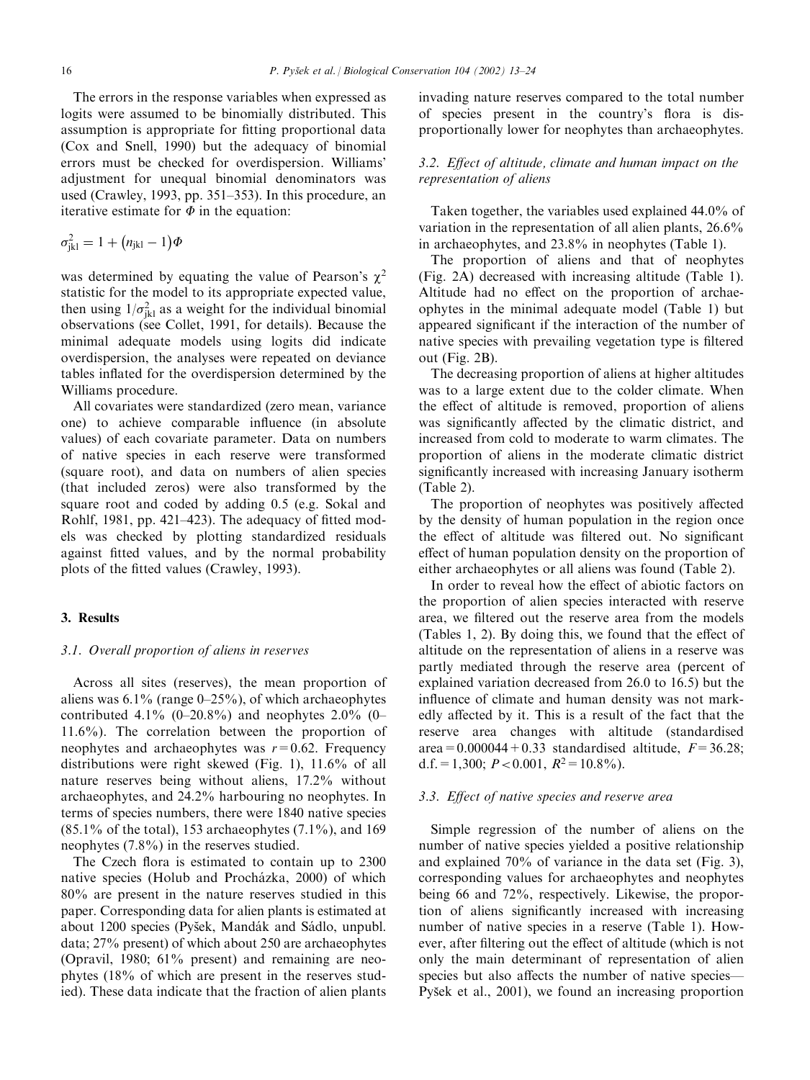The errors in the response variables when expressed as logits were assumed to be binomially distributed. This assumption is appropriate for fitting proportional data (Cox and Snell, 1990) but the adequacy of binomial errors must be checked for overdispersion. Williams' adjustment for unequal binomial denominators was used (Crawley, 1993, pp. 351–353). In this procedure, an iterative estimate for  $\Phi$  in the equation:

$$
\sigma_{jkl}^2 = 1 + (n_{jkl} - 1)\Phi
$$

was determined by equating the value of Pearson's  $\chi^2$ statistic for the model to its appropriate expected value, then using  $1/\sigma_{jkl}^2$  as a weight for the individual binomial observations (see Collet, 1991, for details). Because the minimal adequate models using logits did indicate overdispersion, the analyses were repeated on deviance tables inflated for the overdispersion determined by the Williams procedure.

All covariates were standardized (zero mean, variance one) to achieve comparable influence (in absolute values) of each covariate parameter. Data on numbers of native species in each reserve were transformed (square root), and data on numbers of alien species (that included zeros) were also transformed by the square root and coded by adding 0.5 (e.g. Sokal and Rohlf, 1981, pp. 421–423). The adequacy of fitted models was checked by plotting standardized residuals against fitted values, and by the normal probability plots of the fitted values (Crawley, 1993).

### 3. Results

#### 3.1. Overall proportion of aliens in reserves

Across all sites (reserves), the mean proportion of aliens was  $6.1\%$  (range  $0-25\%$ ), of which archaeophytes contributed 4.1%  $(0-20.8\%)$  and neophytes 2.0%  $(0-$ 11.6%). The correlation between the proportion of neophytes and archaeophytes was  $r=0.62$ . Frequency distributions were right skewed (Fig. 1), 11.6% of all nature reserves being without aliens, 17.2% without archaeophytes, and 24.2% harbouring no neophytes. In terms of species numbers, there were 1840 native species  $(85.1\% \text{ of the total})$ , 153 archaeophytes  $(7.1\%)$ , and 169 neophytes (7.8%) in the reserves studied.

The Czech flora is estimated to contain up to 2300 native species (Holub and Procházka, 2000) of which 80% are present in the nature reserves studied in this paper. Corresponding data for alien plants is estimated at about 1200 species (Pyšek, Mandák and Sádlo, unpubl. data; 27% present) of which about 250 are archaeophytes (Opravil, 1980; 61% present) and remaining are neophytes (18% of which are present in the reserves studied). These data indicate that the fraction of alien plants

invading nature reserves compared to the total number of species present in the country's flora is disproportionally lower for neophytes than archaeophytes.

# 3.2. Effect of altitude, climate and human impact on the representation of aliens

Taken together, the variables used explained 44.0% of variation in the representation of all alien plants, 26.6% in archaeophytes, and 23.8% in neophytes (Table 1).

The proportion of aliens and that of neophytes (Fig. 2A) decreased with increasing altitude (Table 1). Altitude had no effect on the proportion of archaeophytes in the minimal adequate model (Table 1) but appeared significant if the interaction of the number of native species with prevailing vegetation type is filtered out (Fig. 2B).

The decreasing proportion of aliens at higher altitudes was to a large extent due to the colder climate. When the effect of altitude is removed, proportion of aliens was significantly affected by the climatic district, and increased from cold to moderate to warm climates. The proportion of aliens in the moderate climatic district significantly increased with increasing January isotherm (Table 2).

The proportion of neophytes was positively affected by the density of human population in the region once the effect of altitude was filtered out. No significant effect of human population density on the proportion of either archaeophytes or all aliens was found (Table 2).

In order to reveal how the effect of abiotic factors on the proportion of alien species interacted with reserve area, we filtered out the reserve area from the models (Tables 1, 2). By doing this, we found that the effect of altitude on the representation of aliens in a reserve was partly mediated through the reserve area (percent of explained variation decreased from 26.0 to 16.5) but the influence of climate and human density was not markedly affected by it. This is a result of the fact that the reserve area changes with altitude (standardised area=0.000044+0.33 standardised altitude,  $F=36.28$ ; d.f. = 1,300;  $P < 0.001$ ,  $R^2 = 10.8\%$ ).

## 3.3. Effect of native species and reserve area

Simple regression of the number of aliens on the number of native species yielded a positive relationship and explained 70% of variance in the data set (Fig. 3), corresponding values for archaeophytes and neophytes being 66 and 72%, respectively. Likewise, the proportion of aliens significantly increased with increasing number of native species in a reserve (Table 1). However, after filtering out the effect of altitude (which is not only the main determinant of representation of alien species but also affects the number of native species— Pys̆ek et al., 2001), we found an increasing proportion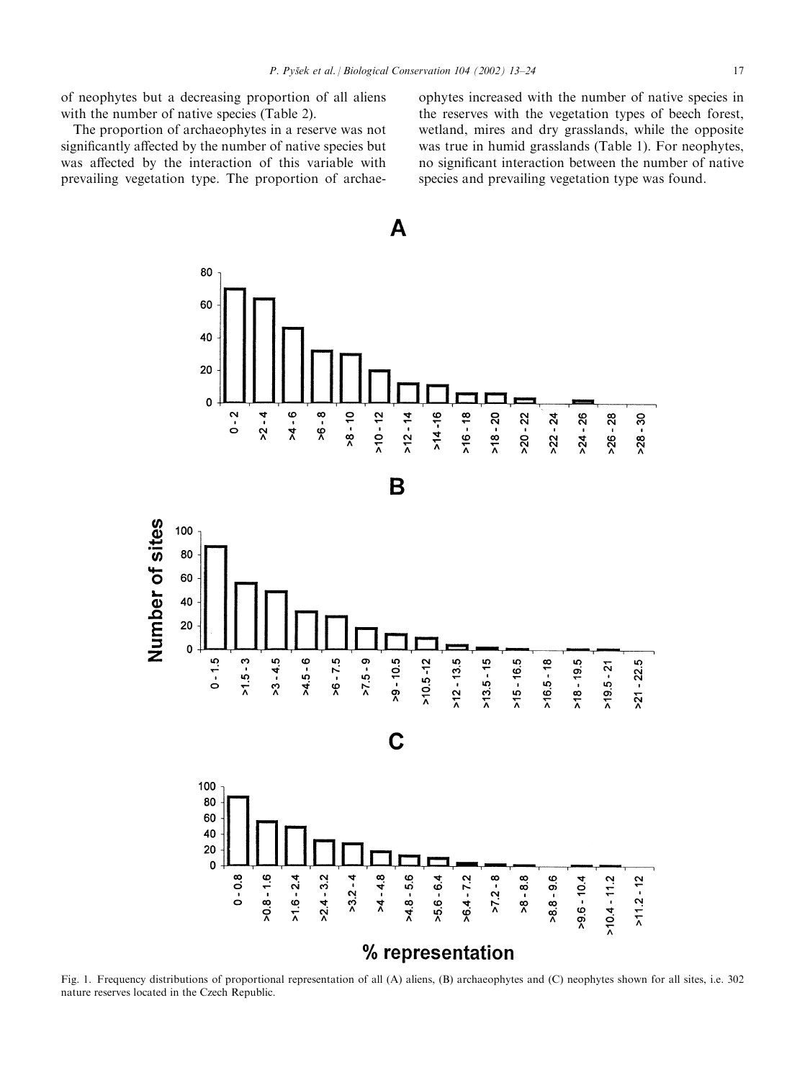of neophytes but a decreasing proportion of all aliens with the number of native species (Table 2).

The proportion of archaeophytes in a reserve was not significantly affected by the number of native species but was affected by the interaction of this variable with prevailing vegetation type. The proportion of archaeophytes increased with the number of native species in the reserves with the vegetation types of beech forest, wetland, mires and dry grasslands, while the opposite was true in humid grasslands (Table 1). For neophytes, no significant interaction between the number of native species and prevailing vegetation type was found.



Fig. 1. Frequency distributions of proportional representation of all (A) aliens, (B) archaeophytes and (C) neophytes shown for all sites, i.e. 302 nature reserves located in the Czech Republic.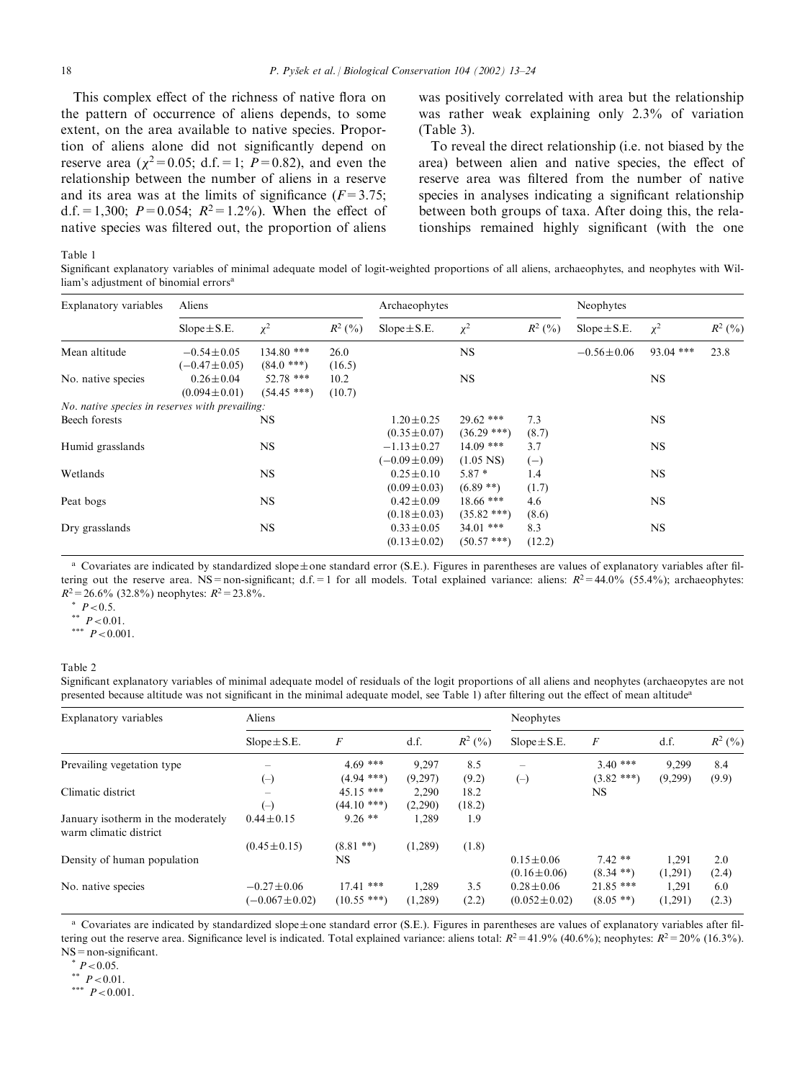This complex effect of the richness of native flora on the pattern of occurrence of aliens depends, to some extent, on the area available to native species. Proportion of aliens alone did not significantly depend on reserve area ( $\chi^2$ =0.05; d.f. = 1; P=0.82), and even the relationship between the number of aliens in a reserve and its area was at the limits of significance  $(F=3.75;$ d.f. = 1,300;  $P = 0.054$ ;  $R^2 = 1.2\%$ ). When the effect of native species was filtered out, the proportion of aliens was positively correlated with area but the relationship was rather weak explaining only 2.3% of variation (Table 3).

To reveal the direct relationship (i.e. not biased by the area) between alien and native species, the effect of reserve area was filtered from the number of native species in analyses indicating a significant relationship between both groups of taxa. After doing this, the relationships remained highly significant (with the one

Table 1

Significant explanatory variables of minimal adequate model of logit-weighted proportions of all aliens, archaeophytes, and neophytes with William's adjustment of binomial errors<sup>a</sup>

| Explanatory variables                                  | Aliens                                 |                             |                | Archaeophytes                                               |                                                    |                       | Neophytes        |             |           |
|--------------------------------------------------------|----------------------------------------|-----------------------------|----------------|-------------------------------------------------------------|----------------------------------------------------|-----------------------|------------------|-------------|-----------|
|                                                        | $Slope \pm S.E.$                       | $\chi^2$                    | $R^2$ (%)      | $Slope \pm S.E.$                                            | $\chi^2$                                           | $R^2$ (%)             | $Slope \pm S.E.$ | $\chi^2$    | $R^2$ (%) |
| Mean altitude                                          | $-0.54 \pm 0.05$<br>$(-0.47 \pm 0.05)$ | $134.80$ ***<br>$(84.0***)$ | 26.0<br>(16.5) |                                                             | NS                                                 |                       | $-0.56 \pm 0.06$ | $93.04$ *** | 23.8      |
| No. native species                                     | $0.26 \pm 0.04$<br>$(0.094 \pm 0.01)$  | 52.78 ***<br>$(54.45$ ***)  | 10.2<br>(10.7) |                                                             | <b>NS</b>                                          |                       |                  | <b>NS</b>   |           |
| <i>No. native species in reserves with prevailing:</i> |                                        |                             |                |                                                             |                                                    |                       |                  |             |           |
| Beech forests                                          |                                        | <b>NS</b>                   |                | $1.20 \pm 0.25$                                             | $29.62$ ***                                        | 7.3                   |                  | <b>NS</b>   |           |
| Humid grasslands                                       |                                        | <b>NS</b>                   |                | $(0.35 \pm 0.07)$<br>$-1.13 \pm 0.27$<br>$(-0.09 \pm 0.09)$ | $(36.29***)$<br>$14.09$ ***<br>$(1.05 \text{ NS})$ | (8.7)<br>3.7<br>$(-)$ |                  | <b>NS</b>   |           |
| Wetlands                                               |                                        | <b>NS</b>                   |                | $0.25 \pm 0.10$<br>$(0.09 \pm 0.03)$                        | $5.87*$<br>$(6.89**)$                              | 1.4<br>(1.7)          |                  | <b>NS</b>   |           |
| Peat bogs                                              |                                        | <b>NS</b>                   |                | $0.42 \pm 0.09$<br>$(0.18 \pm 0.03)$                        | $18.66$ ***<br>$(35.82$ ***)                       | 4.6<br>(8.6)          |                  | <b>NS</b>   |           |
| Dry grasslands                                         |                                        | <b>NS</b>                   |                | $0.33 \pm 0.05$<br>$(0.13 \pm 0.02)$                        | $34.01$ ***<br>$(50.57$ ***)                       | 8.3<br>(12.2)         |                  | <b>NS</b>   |           |

<sup>a</sup> Covariates are indicated by standardized slope $\pm$ one standard error (S.E.). Figures in parentheses are values of explanatory variables after filtering out the reserve area. NS = non-significant; d.f. = 1 for all models. Total explained variance: aliens:  $R^2 = 44.0\%$  (55.4%); archaeophytes:  $R^2 = 26.6\%$  (32.8%) neophytes:  $R^2 = 23.8\%$ .

 $*$   $P < 0.5$ .

\*\*  $P < 0.01$ .

\*\*\*  $P < 0.001$ .

### Table 2

| Significant explanatory variables of minimal adequate model of residuals of the logit proportions of all aliens and neophytes (archaeopytes are not     |  |  |
|---------------------------------------------------------------------------------------------------------------------------------------------------------|--|--|
| presented because altitude was not significant in the minimal adequate model, see Table 1) after filtering out the effect of mean altitude <sup>a</sup> |  |  |

| Explanatory variables                                        | Aliens              |                  |         |           | Neophytes          |             |         |           |
|--------------------------------------------------------------|---------------------|------------------|---------|-----------|--------------------|-------------|---------|-----------|
|                                                              | $Slope \pm S.E.$    | $\boldsymbol{F}$ | d.f.    | $R^2$ (%) | $Slope \pm S.E.$   | F           | d.f.    | $R^2$ (%) |
| Prevailing vegetation type                                   |                     | $4.69***$        | 9,297   | 8.5       |                    | $3.40$ ***  | 9,299   | 8.4       |
|                                                              | $(-)$               | $(4.94***)$      | (9,297) | (9.2)     | $(-)$              | $(3.82***)$ | (9,299) | (9.9)     |
| Climatic district                                            |                     | $45.15***$       | 2,290   | 18.2      |                    | NS          |         |           |
|                                                              | $(-)$               | $(44.10***)$     | (2,290) | (18.2)    |                    |             |         |           |
| January isotherm in the moderately<br>warm climatic district | $0.44 \pm 0.15$     | $9.26$ **        | 1,289   | 1.9       |                    |             |         |           |
|                                                              | $(0.45 \pm 0.15)$   | $(8.81**)$       | (1,289) | (1.8)     |                    |             |         |           |
| Density of human population                                  |                     | NS               |         |           | $0.15 \pm 0.06$    | $7.42**$    | 1.291   | 2.0       |
|                                                              |                     |                  |         |           | $(0.16 \pm 0.06)$  | $(8.34**)$  | (1,291) | (2.4)     |
| No. native species                                           | $-0.27 \pm 0.06$    | $17.41$ ***      | 1.289   | 3.5       | $0.28 \pm 0.06$    | $21.85$ *** | 1,291   | 6.0       |
|                                                              | $(-0.067 \pm 0.02)$ | $(10.55***)$     | (1,289) | (2.2)     | $(0.052 \pm 0.02)$ | $(8.05**)$  | (1,291) | (2.3)     |

 $^a$  Covariates are indicated by standardized slope $\pm$ one standard error (S.E.). Figures in parentheses are values of explanatory variables after filtering out the reserve area. Significance level is indicated. Total explained variance: aliens total:  $R^2 = 41.9\%$  (40.6%); neophytes:  $R^2 = 20\%$  (16.3%).  $NS = non-significant$ .

 $* P < 0.05.$ 

\*\*  $P < 0.01$ .

\*\*\*  $P < 0.001$ .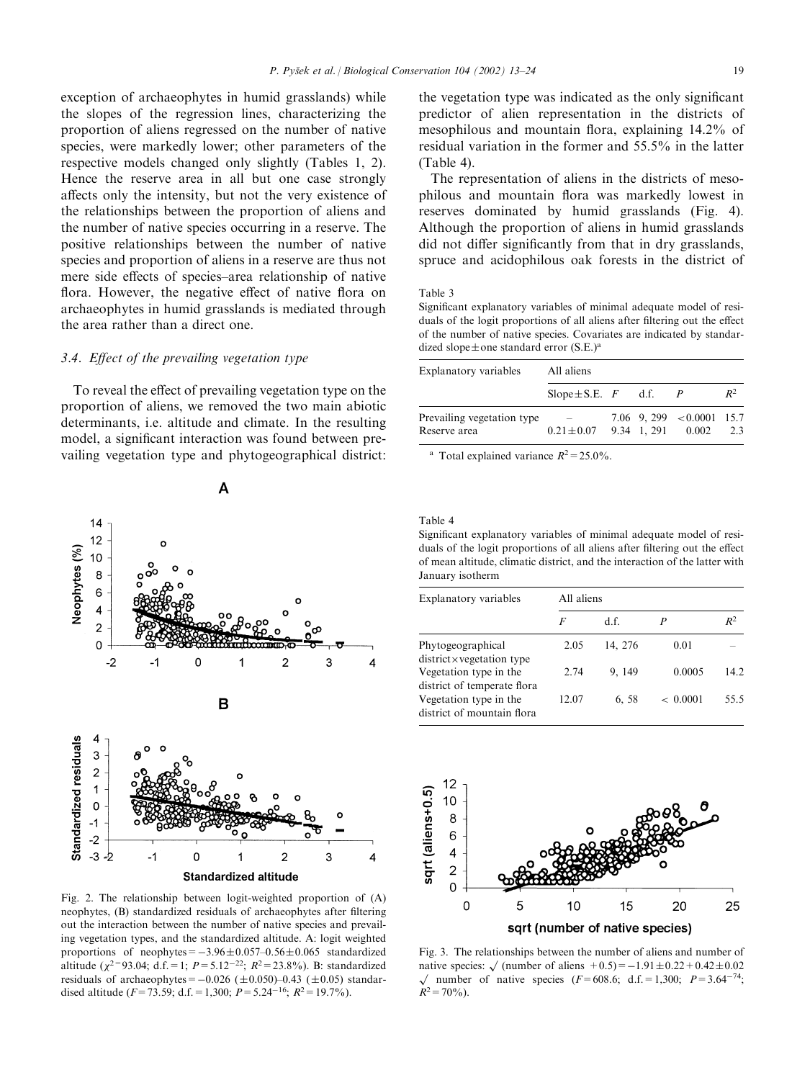exception of archaeophytes in humid grasslands) while the slopes of the regression lines, characterizing the proportion of aliens regressed on the number of native species, were markedly lower; other parameters of the respective models changed only slightly (Tables 1, 2). Hence the reserve area in all but one case strongly affects only the intensity, but not the very existence of the relationships between the proportion of aliens and the number of native species occurring in a reserve. The positive relationships between the number of native species and proportion of aliens in a reserve are thus not mere side effects of species–area relationship of native flora. However, the negative effect of native flora on archaeophytes in humid grasslands is mediated through the area rather than a direct one.

#### 3.4. Effect of the prevailing vegetation type

To reveal the effect of prevailing vegetation type on the proportion of aliens, we removed the two main abiotic determinants, i.e. altitude and climate. In the resulting model, a significant interaction was found between prevailing vegetation type and phytogeographical district:



Fig. 2. The relationship between logit-weighted proportion of (A) neophytes, (B) standardized residuals of archaeophytes after filtering out the interaction between the number of native species and prevailing vegetation types, and the standardized altitude. A: logit weighted proportions of neophytes =  $-3.96 \pm 0.057 - 0.56 \pm 0.065$  standardized altitude ( $\chi^{2}$ =93.04; d.f. = 1;  $P = 5.12^{-22}$ ;  $R^2 = 23.8\%$ ). B: standardized residuals of archaeophytes  $=$  -0.026 ( $\pm$ 0.050)–0.43 ( $\pm$ 0.05) standardised altitude ( $F = 73.59$ ; d.f. = 1,300;  $P = 5.24^{-16}$ ;  $R^2 = 19.7\%$ ).

the vegetation type was indicated as the only significant predictor of alien representation in the districts of mesophilous and mountain flora, explaining 14.2% of residual variation in the former and 55.5% in the latter (Table 4).

The representation of aliens in the districts of mesophilous and mountain flora was markedly lowest in reserves dominated by humid grasslands (Fig. 4). Although the proportion of aliens in humid grasslands did not differ significantly from that in dry grasslands, spruce and acidophilous oak forests in the district of

#### Table 3

Significant explanatory variables of minimal adequate model of residuals of the logit proportions of all aliens after filtering out the effect of the number of native species. Covariates are indicated by standardized slope $\pm$  one standard error (S.E.)<sup>a</sup>

| Explanatory variables                      | All aliens                           |  |            |                                       |       |  |  |
|--------------------------------------------|--------------------------------------|--|------------|---------------------------------------|-------|--|--|
|                                            | Slope $\pm$ S.E. F d.f.              |  |            |                                       | $R^2$ |  |  |
| Prevailing vegetation type<br>Reserve area | $\qquad \qquad -$<br>$0.21 \pm 0.07$ |  | 9.34 1.291 | 7.06 9.299 $\lt$ 0.0001 15.7<br>0.002 | 2.3   |  |  |

<sup>a</sup> Total explained variance  $R^2 = 25.0\%$ .

Table 4

Significant explanatory variables of minimal adequate model of residuals of the logit proportions of all aliens after filtering out the effect of mean altitude, climatic district, and the interaction of the latter with January isotherm

| Explanatory variables                                 | All aliens |        |           |       |  |  |  |
|-------------------------------------------------------|------------|--------|-----------|-------|--|--|--|
|                                                       | F          | d.f.   | P         | $R^2$ |  |  |  |
| Phytogeographical<br>districtxvegetation type         | 2.05       | 14.276 | 0.01      |       |  |  |  |
| Vegetation type in the<br>district of temperate flora | 2.74       | 9.149  | 0.0005    | 14.2  |  |  |  |
| Vegetation type in the<br>district of mountain flora  | 12.07      | 6.58   | ~< 0.0001 | 55.5  |  |  |  |



Fig. 3. The relationships between the number of aliens and number of native species:  $\sqrt{\frac{\text{number of aliens } +0.5}{-1.91 \pm 0.22 + 0.42 \pm 0.02}}$  $p = 3.64^{-74}$ ; number of native species ( $F = 608.6$ ; d.f. = 1,300;  $P = 3.64^{-74}$ ;  $R^2 = 70\%$ ).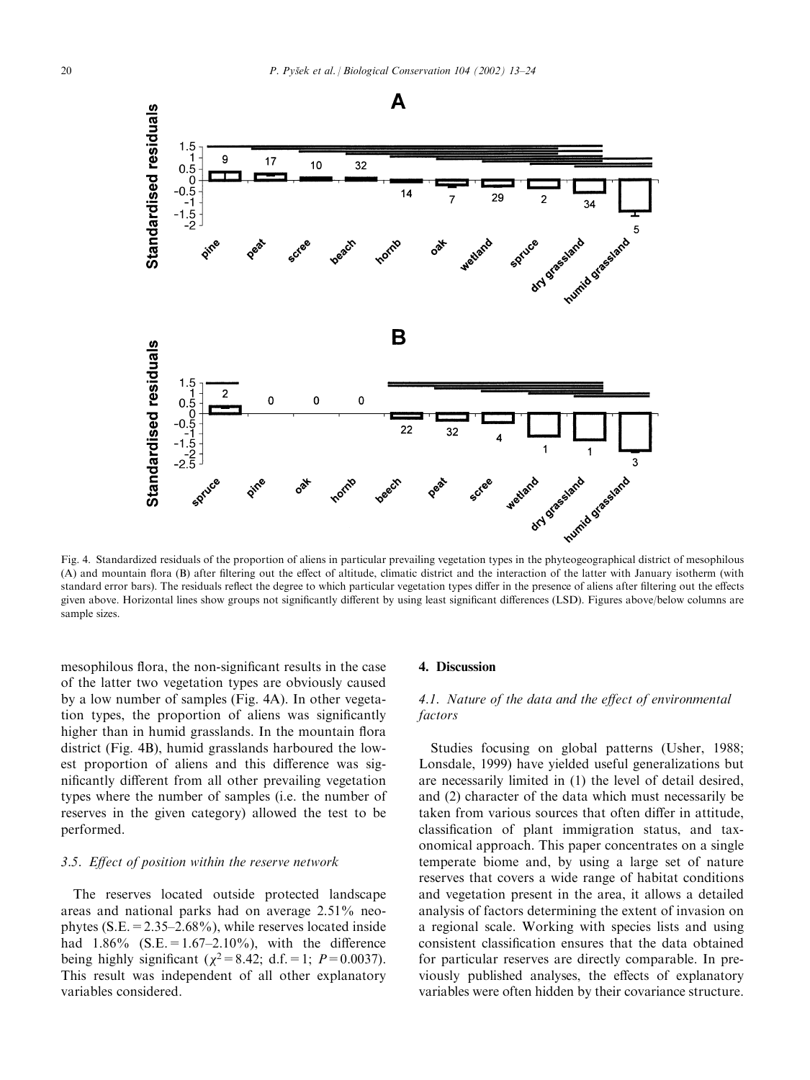

Fig. 4. Standardized residuals of the proportion of aliens in particular prevailing vegetation types in the phyteogeographical district of mesophilous (A) and mountain flora (B) after filtering out the effect of altitude, climatic district and the interaction of the latter with January isotherm (with standard error bars). The residuals reflect the degree to which particular vegetation types differ in the presence of aliens after filtering out the effects given above. Horizontal lines show groups not significantly different by using least significant differences (LSD). Figures above/below columns are sample sizes.

mesophilous flora, the non-significant results in the case of the latter two vegetation types are obviously caused by a low number of samples (Fig. 4A). In other vegetation types, the proportion of aliens was significantly higher than in humid grasslands. In the mountain flora district (Fig. 4B), humid grasslands harboured the lowest proportion of aliens and this difference was significantly different from all other prevailing vegetation types where the number of samples (i.e. the number of reserves in the given category) allowed the test to be performed.

## 3.5. Effect of position within the reserve network

The reserves located outside protected landscape areas and national parks had on average 2.51% neophytes  $(S.E. = 2.35-2.68\%)$ , while reserves located inside had  $1.86\%$  (S.E. = 1.67–2.10%), with the difference being highly significant ( $\chi^2 = 8.42$ ; d.f. = 1; P = 0.0037). This result was independent of all other explanatory variables considered.

### 4. Discussion

# 4.1. Nature of the data and the effect of environmental factors

Studies focusing on global patterns (Usher, 1988; Lonsdale, 1999) have yielded useful generalizations but are necessarily limited in (1) the level of detail desired, and (2) character of the data which must necessarily be taken from various sources that often differ in attitude, classification of plant immigration status, and taxonomical approach. This paper concentrates on a single temperate biome and, by using a large set of nature reserves that covers a wide range of habitat conditions and vegetation present in the area, it allows a detailed analysis of factors determining the extent of invasion on a regional scale. Working with species lists and using consistent classification ensures that the data obtained for particular reserves are directly comparable. In previously published analyses, the effects of explanatory variables were often hidden by their covariance structure.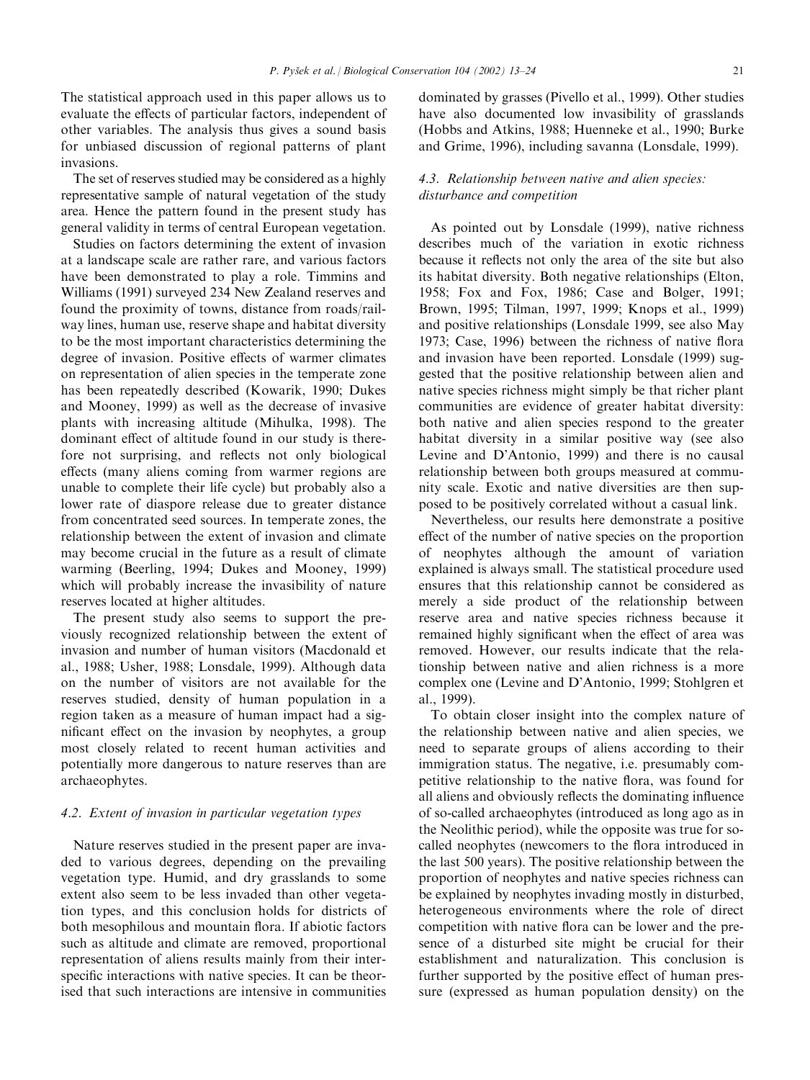The statistical approach used in this paper allows us to evaluate the effects of particular factors, independent of other variables. The analysis thus gives a sound basis for unbiased discussion of regional patterns of plant invasions.

The set of reserves studied may be considered as a highly representative sample of natural vegetation of the study area. Hence the pattern found in the present study has general validity in terms of central European vegetation.

Studies on factors determining the extent of invasion at a landscape scale are rather rare, and various factors have been demonstrated to play a role. Timmins and Williams (1991) surveyed 234 New Zealand reserves and found the proximity of towns, distance from roads/railway lines, human use, reserve shape and habitat diversity to be the most important characteristics determining the degree of invasion. Positive effects of warmer climates on representation of alien species in the temperate zone has been repeatedly described (Kowarik, 1990; Dukes and Mooney, 1999) as well as the decrease of invasive plants with increasing altitude (Mihulka, 1998). The dominant effect of altitude found in our study is therefore not surprising, and reflects not only biological effects (many aliens coming from warmer regions are unable to complete their life cycle) but probably also a lower rate of diaspore release due to greater distance from concentrated seed sources. In temperate zones, the relationship between the extent of invasion and climate may become crucial in the future as a result of climate warming (Beerling, 1994; Dukes and Mooney, 1999) which will probably increase the invasibility of nature reserves located at higher altitudes.

The present study also seems to support the previously recognized relationship between the extent of invasion and number of human visitors (Macdonald et al., 1988; Usher, 1988; Lonsdale, 1999). Although data on the number of visitors are not available for the reserves studied, density of human population in a region taken as a measure of human impact had a significant effect on the invasion by neophytes, a group most closely related to recent human activities and potentially more dangerous to nature reserves than are archaeophytes.

# 4.2. Extent of invasion in particular vegetation types

Nature reserves studied in the present paper are invaded to various degrees, depending on the prevailing vegetation type. Humid, and dry grasslands to some extent also seem to be less invaded than other vegetation types, and this conclusion holds for districts of both mesophilous and mountain flora. If abiotic factors such as altitude and climate are removed, proportional representation of aliens results mainly from their interspecific interactions with native species. It can be theorised that such interactions are intensive in communities dominated by grasses (Pivello et al., 1999). Other studies have also documented low invasibility of grasslands (Hobbs and Atkins, 1988; Huenneke et al., 1990; Burke and Grime, 1996), including savanna (Lonsdale, 1999).

## 4.3. Relationship between native and alien species: disturbance and competition

As pointed out by Lonsdale (1999), native richness describes much of the variation in exotic richness because it reflects not only the area of the site but also its habitat diversity. Both negative relationships (Elton, 1958; Fox and Fox, 1986; Case and Bolger, 1991; Brown, 1995; Tilman, 1997, 1999; Knops et al., 1999) and positive relationships (Lonsdale 1999, see also May 1973; Case, 1996) between the richness of native flora and invasion have been reported. Lonsdale (1999) suggested that the positive relationship between alien and native species richness might simply be that richer plant communities are evidence of greater habitat diversity: both native and alien species respond to the greater habitat diversity in a similar positive way (see also Levine and D'Antonio, 1999) and there is no causal relationship between both groups measured at community scale. Exotic and native diversities are then supposed to be positively correlated without a casual link.

Nevertheless, our results here demonstrate a positive effect of the number of native species on the proportion of neophytes although the amount of variation explained is always small. The statistical procedure used ensures that this relationship cannot be considered as merely a side product of the relationship between reserve area and native species richness because it remained highly significant when the effect of area was removed. However, our results indicate that the relationship between native and alien richness is a more complex one (Levine and D'Antonio, 1999; Stohlgren et al., 1999).

To obtain closer insight into the complex nature of the relationship between native and alien species, we need to separate groups of aliens according to their immigration status. The negative, i.e. presumably competitive relationship to the native flora, was found for all aliens and obviously reflects the dominating influence of so-called archaeophytes (introduced as long ago as in the Neolithic period), while the opposite was true for socalled neophytes (newcomers to the flora introduced in the last 500 years). The positive relationship between the proportion of neophytes and native species richness can be explained by neophytes invading mostly in disturbed, heterogeneous environments where the role of direct competition with native flora can be lower and the presence of a disturbed site might be crucial for their establishment and naturalization. This conclusion is further supported by the positive effect of human pressure (expressed as human population density) on the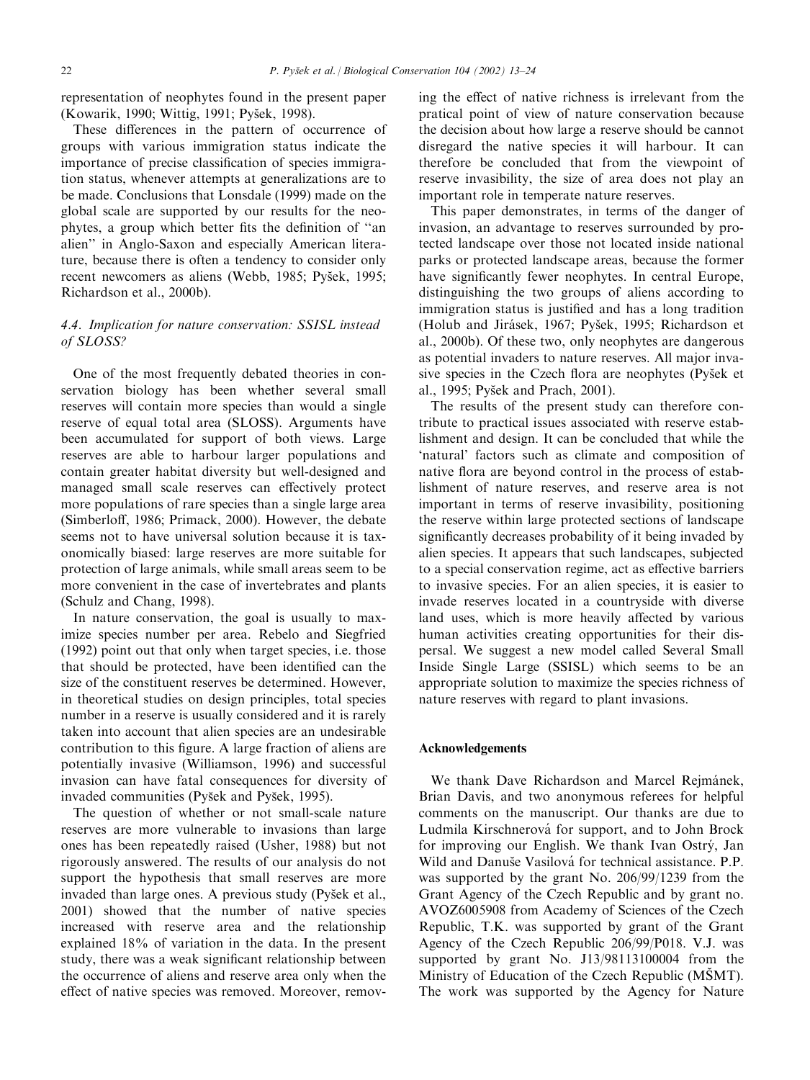representation of neophytes found in the present paper (Kowarik, 1990; Wittig, 1991; Pyšek, 1998).

These differences in the pattern of occurrence of groups with various immigration status indicate the importance of precise classification of species immigration status, whenever attempts at generalizations are to be made. Conclusions that Lonsdale (1999) made on the global scale are supported by our results for the neophytes, a group which better fits the definition of ''an alien'' in Anglo-Saxon and especially American literature, because there is often a tendency to consider only recent newcomers as aliens (Webb, 1985; Pyšek, 1995; Richardson et al., 2000b).

# 4.4. Implication for nature conservation: SSISL instead of SLOSS?

One of the most frequently debated theories in conservation biology has been whether several small reserves will contain more species than would a single reserve of equal total area (SLOSS). Arguments have been accumulated for support of both views. Large reserves are able to harbour larger populations and contain greater habitat diversity but well-designed and managed small scale reserves can effectively protect more populations of rare species than a single large area (Simberloff, 1986; Primack, 2000). However, the debate seems not to have universal solution because it is taxonomically biased: large reserves are more suitable for protection of large animals, while small areas seem to be more convenient in the case of invertebrates and plants (Schulz and Chang, 1998).

In nature conservation, the goal is usually to maximize species number per area. Rebelo and Siegfried (1992) point out that only when target species, i.e. those that should be protected, have been identified can the size of the constituent reserves be determined. However, in theoretical studies on design principles, total species number in a reserve is usually considered and it is rarely taken into account that alien species are an undesirable contribution to this figure. A large fraction of aliens are potentially invasive (Williamson, 1996) and successful invasion can have fatal consequences for diversity of invaded communities (Pyšek and Pyšek, 1995).

The question of whether or not small-scale nature reserves are more vulnerable to invasions than large ones has been repeatedly raised (Usher, 1988) but not rigorously answered. The results of our analysis do not support the hypothesis that small reserves are more invaded than large ones. A previous study (Pyšek et al., 2001) showed that the number of native species increased with reserve area and the relationship explained 18% of variation in the data. In the present study, there was a weak significant relationship between the occurrence of aliens and reserve area only when the effect of native species was removed. Moreover, removing the effect of native richness is irrelevant from the pratical point of view of nature conservation because the decision about how large a reserve should be cannot disregard the native species it will harbour. It can therefore be concluded that from the viewpoint of reserve invasibility, the size of area does not play an important role in temperate nature reserves.

This paper demonstrates, in terms of the danger of invasion, an advantage to reserves surrounded by protected landscape over those not located inside national parks or protected landscape areas, because the former have significantly fewer neophytes. In central Europe, distinguishing the two groups of aliens according to immigration status is justified and has a long tradition (Holub and Jirásek, 1967; Pyšek, 1995; Richardson et al., 2000b). Of these two, only neophytes are dangerous as potential invaders to nature reserves. All major invasive species in the Czech flora are neophytes (Pyšek et al., 1995; Pyšek and Prach, 2001).

The results of the present study can therefore contribute to practical issues associated with reserve establishment and design. It can be concluded that while the 'natural' factors such as climate and composition of native flora are beyond control in the process of establishment of nature reserves, and reserve area is not important in terms of reserve invasibility, positioning the reserve within large protected sections of landscape significantly decreases probability of it being invaded by alien species. It appears that such landscapes, subjected to a special conservation regime, act as effective barriers to invasive species. For an alien species, it is easier to invade reserves located in a countryside with diverse land uses, which is more heavily affected by various human activities creating opportunities for their dispersal. We suggest a new model called Several Small Inside Single Large (SSISL) which seems to be an appropriate solution to maximize the species richness of nature reserves with regard to plant invasions.

## Acknowledgements

We thank Dave Richardson and Marcel Rejmanek, Brian Davis, and two anonymous referees for helpful comments on the manuscript. Our thanks are due to Ludmila Kirschnerová for support, and to John Brock for improving our English. We thank Ivan Ostry´, Jan Wild and Danuše Vasilová for technical assistance. P.P. was supported by the grant No. 206/99/1239 from the Grant Agency of the Czech Republic and by grant no. AVOZ6005908 from Academy of Sciences of the Czech Republic, T.K. was supported by grant of the Grant Agency of the Czech Republic 206/99/P018. V.J. was supported by grant No. J13/98113100004 from the Ministry of Education of the Czech Republic (MSMT). The work was supported by the Agency for Nature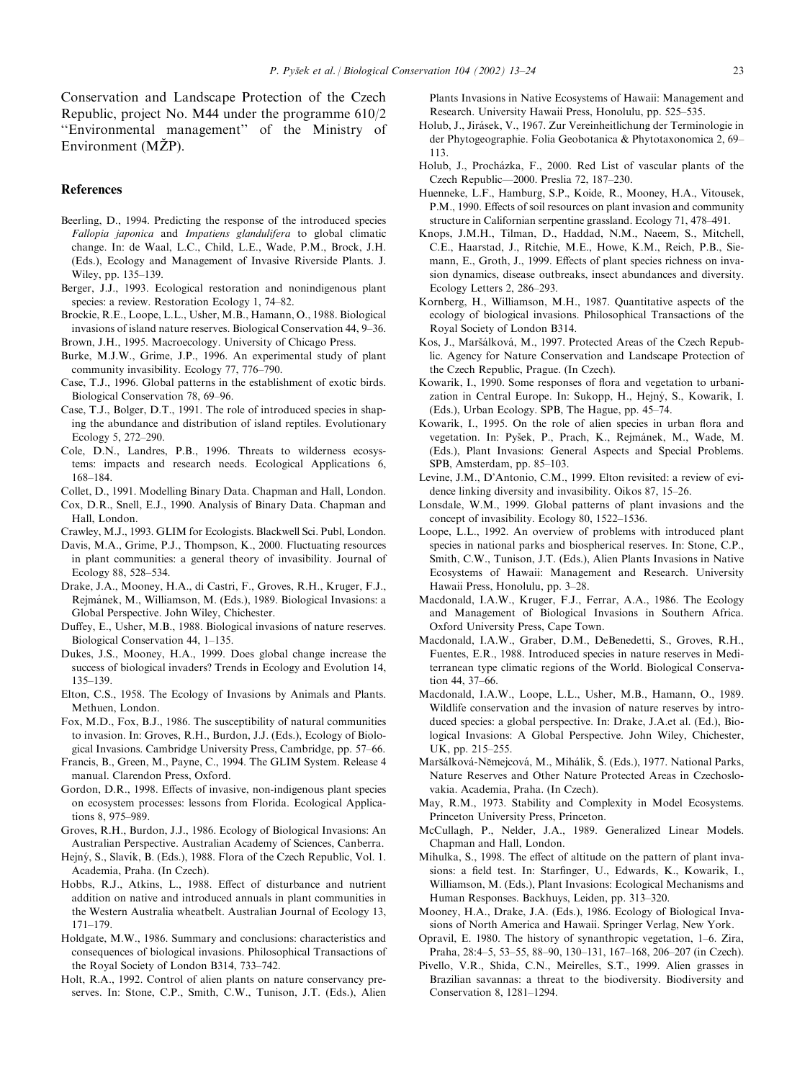Conservation and Landscape Protection of the Czech Republic, project No. M44 under the programme 610/2 ''Environmental management'' of the Ministry of Environment (MŽP).

#### References

- Beerling, D., 1994. Predicting the response of the introduced species Fallopia japonica and Impatiens glandulifera to global climatic change. In: de Waal, L.C., Child, L.E., Wade, P.M., Brock, J.H. (Eds.), Ecology and Management of Invasive Riverside Plants. J. Wiley, pp. 135–139.
- Berger, J.J., 1993. Ecological restoration and nonindigenous plant species: a review. Restoration Ecology 1, 74–82.
- Brockie, R.E., Loope, L.L., Usher, M.B., Hamann, O., 1988. Biological invasions of island nature reserves. Biological Conservation 44, 9–36. Brown, J.H., 1995. Macroecology. University of Chicago Press.
- Burke, M.J.W., Grime, J.P., 1996. An experimental study of plant community invasibility. Ecology 77, 776–790.
- Case, T.J., 1996. Global patterns in the establishment of exotic birds. Biological Conservation 78, 69–96.
- Case, T.J., Bolger, D.T., 1991. The role of introduced species in shaping the abundance and distribution of island reptiles. Evolutionary Ecology 5, 272–290.
- Cole, D.N., Landres, P.B., 1996. Threats to wilderness ecosystems: impacts and research needs. Ecological Applications 6, 168–184.
- Collet, D., 1991. Modelling Binary Data. Chapman and Hall, London.
- Cox, D.R., Snell, E.J., 1990. Analysis of Binary Data. Chapman and Hall, London.
- Crawley, M.J., 1993. GLIM for Ecologists. Blackwell Sci. Publ, London.
- Davis, M.A., Grime, P.J., Thompson, K., 2000. Fluctuating resources in plant communities: a general theory of invasibility. Journal of Ecology 88, 528–534.
- Drake, J.A., Mooney, H.A., di Castri, F., Groves, R.H., Kruger, F.J., Rejma´nek, M., Williamson, M. (Eds.), 1989. Biological Invasions: a Global Perspective. John Wiley, Chichester.
- Duffey, E., Usher, M.B., 1988. Biological invasions of nature reserves. Biological Conservation 44, 1–135.
- Dukes, J.S., Mooney, H.A., 1999. Does global change increase the success of biological invaders? Trends in Ecology and Evolution 14, 135–139.
- Elton, C.S., 1958. The Ecology of Invasions by Animals and Plants. Methuen, London.
- Fox, M.D., Fox, B.J., 1986. The susceptibility of natural communities to invasion. In: Groves, R.H., Burdon, J.J. (Eds.), Ecology of Biological Invasions. Cambridge University Press, Cambridge, pp. 57–66.
- Francis, B., Green, M., Payne, C., 1994. The GLIM System. Release 4 manual. Clarendon Press, Oxford.
- Gordon, D.R., 1998. Effects of invasive, non-indigenous plant species on ecosystem processes: lessons from Florida. Ecological Applications 8, 975–989.
- Groves, R.H., Burdon, J.J., 1986. Ecology of Biological Invasions: An Australian Perspective. Australian Academy of Sciences, Canberra.
- Hejný, S., Slavík, B. (Eds.), 1988. Flora of the Czech Republic, Vol. 1. Academia, Praha. (In Czech).
- Hobbs, R.J., Atkins, L., 1988. Effect of disturbance and nutrient addition on native and introduced annuals in plant communities in the Western Australia wheatbelt. Australian Journal of Ecology 13, 171–179.
- Holdgate, M.W., 1986. Summary and conclusions: characteristics and consequences of biological invasions. Philosophical Transactions of the Royal Society of London B314, 733–742.
- Holt, R.A., 1992. Control of alien plants on nature conservancy preserves. In: Stone, C.P., Smith, C.W., Tunison, J.T. (Eds.), Alien

Plants Invasions in Native Ecosystems of Hawaii: Management and Research. University Hawaii Press, Honolulu, pp. 525–535.

- Holub, J., Jirásek, V., 1967. Zur Vereinheitlichung der Terminologie in der Phytogeographie. Folia Geobotanica & Phytotaxonomica 2, 69– 113.
- Holub, J., Procházka, F., 2000. Red List of vascular plants of the Czech Republic—2000. Preslia 72, 187–230.
- Huenneke, L.F., Hamburg, S.P., Koide, R., Mooney, H.A., Vitousek, P.M., 1990. Effects of soil resources on plant invasion and community structure in Californian serpentine grassland. Ecology 71, 478–491.
- Knops, J.M.H., Tilman, D., Haddad, N.M., Naeem, S., Mitchell, C.E., Haarstad, J., Ritchie, M.E., Howe, K.M., Reich, P.B., Siemann, E., Groth, J., 1999. Effects of plant species richness on invasion dynamics, disease outbreaks, insect abundances and diversity. Ecology Letters 2, 286–293.
- Kornberg, H., Williamson, M.H., 1987. Quantitative aspects of the ecology of biological invasions. Philosophical Transactions of the Royal Society of London B314.
- Kos, J., Maršálková, M., 1997. Protected Areas of the Czech Republic. Agency for Nature Conservation and Landscape Protection of the Czech Republic, Prague. (In Czech).
- Kowarik, I., 1990. Some responses of flora and vegetation to urbanization in Central Europe. In: Sukopp, H., Hejný, S., Kowarik, I. (Eds.), Urban Ecology. SPB, The Hague, pp. 45–74.
- Kowarik, I., 1995. On the role of alien species in urban flora and vegetation. In: Pyšek, P., Prach, K., Rejmánek, M., Wade, M. (Eds.), Plant Invasions: General Aspects and Special Problems. SPB, Amsterdam, pp. 85–103.
- Levine, J.M., D'Antonio, C.M., 1999. Elton revisited: a review of evidence linking diversity and invasibility. Oikos 87, 15–26.
- Lonsdale, W.M., 1999. Global patterns of plant invasions and the concept of invasibility. Ecology 80, 1522–1536.
- Loope, L.L., 1992. An overview of problems with introduced plant species in national parks and biospherical reserves. In: Stone, C.P., Smith, C.W., Tunison, J.T. (Eds.), Alien Plants Invasions in Native Ecosystems of Hawaii: Management and Research. University Hawaii Press, Honolulu, pp. 3–28.
- Macdonald, I.A.W., Kruger, F.J., Ferrar, A.A., 1986. The Ecology and Management of Biological Invasions in Southern Africa. Oxford University Press, Cape Town.
- Macdonald, I.A.W., Graber, D.M., DeBenedetti, S., Groves, R.H., Fuentes, E.R., 1988. Introduced species in nature reserves in Mediterranean type climatic regions of the World. Biological Conservation 44, 37–66.
- Macdonald, I.A.W., Loope, L.L., Usher, M.B., Hamann, O., 1989. Wildlife conservation and the invasion of nature reserves by introduced species: a global perspective. In: Drake, J.A.et al. (Ed.), Biological Invasions: A Global Perspective. John Wiley, Chichester, UK, pp. 215–255.
- Maršálková-Němejcová, M., Mihálik, Š. (Eds.), 1977. National Parks, Nature Reserves and Other Nature Protected Areas in Czechoslovakia. Academia, Praha. (In Czech).
- May, R.M., 1973. Stability and Complexity in Model Ecosystems. Princeton University Press, Princeton.
- McCullagh, P., Nelder, J.A., 1989. Generalized Linear Models. Chapman and Hall, London.
- Mihulka, S., 1998. The effect of altitude on the pattern of plant invasions: a field test. In: Starfinger, U., Edwards, K., Kowarik, I., Williamson, M. (Eds.), Plant Invasions: Ecological Mechanisms and Human Responses. Backhuys, Leiden, pp. 313–320.
- Mooney, H.A., Drake, J.A. (Eds.), 1986. Ecology of Biological Invasions of North America and Hawaii. Springer Verlag, New York.
- Opravil, E. 1980. The history of synanthropic vegetation, 1–6. Zira, Praha, 28:4–5, 53–55, 88–90, 130–131, 167–168, 206–207 (in Czech).
- Pivello, V.R., Shida, C.N., Meirelles, S.T., 1999. Alien grasses in Brazilian savannas: a threat to the biodiversity. Biodiversity and Conservation 8, 1281–1294.